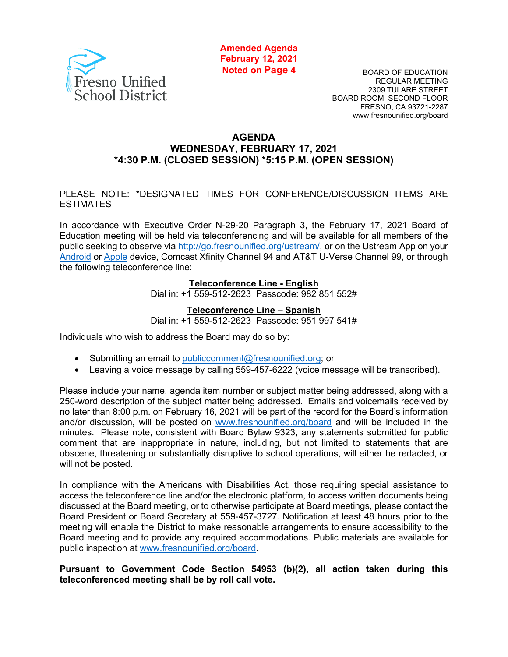

**Amended Agenda February 12, 2021 Noted on Page 4**

BOARD OF EDUCATION REGULAR MEETING 2309 TULARE STREET BOARD ROOM, SECOND FLOOR FRESNO, CA 93721-2287 www.fresnounified.org/board

#### **AGENDA WEDNESDAY, FEBRUARY 17, 2021 \*4:30 P.M. (CLOSED SESSION) \*5:15 P.M. (OPEN SESSION)**

#### PLEASE NOTE: \*DESIGNATED TIMES FOR CONFERENCE/DISCUSSION ITEMS ARE ESTIMATES

In accordance with Executive Order N-29-20 Paragraph 3, the February 17, 2021 Board of Education meeting will be held via teleconferencing and will be available for all members of the public seeking to observe via [http://go.fresnounified.org/ustream/,](http://go.fresnounified.org/ustream/) or on the Ustream App on your [Android](https://play.google.com/store/apps/details?id=tv.ustream.ustream&hl=en_US) or [Apple](https://itunes.apple.com/us/app/ustream/id301520250?mt=8) device, Comcast Xfinity Channel 94 and AT&T U-Verse Channel 99, or through the following teleconference line:

#### **Teleconference Line - English**

Dial in: +1 559-512-2623 Passcode: 982 851 552#

#### **Teleconference Line – Spanish**

Dial in: +1 559-512-2623 Passcode: 951 997 541#

Individuals who wish to address the Board may do so by:

- Submitting an email to [publiccomment@fresnounified.org;](mailto:publiccomment@fresnounified.org) or
- Leaving a voice message by calling 559-457-6222 (voice message will be transcribed).

Please include your name, agenda item number or subject matter being addressed, along with a 250-word description of the subject matter being addressed. Emails and voicemails received by no later than 8:00 p.m. on February 16, 2021 will be part of the record for the Board's information and/or discussion, will be posted on [www.fresnounified.org/board](http://www.fresnounified.org/board) and will be included in the minutes. Please note, consistent with Board Bylaw 9323, any statements submitted for public comment that are inappropriate in nature, including, but not limited to statements that are obscene, threatening or substantially disruptive to school operations, will either be redacted, or will not be posted.

In compliance with the Americans with Disabilities Act, those requiring special assistance to access the teleconference line and/or the electronic platform, to access written documents being discussed at the Board meeting, or to otherwise participate at Board meetings, please contact the Board President or Board Secretary at 559-457-3727. Notification at least 48 hours prior to the meeting will enable the District to make reasonable arrangements to ensure accessibility to the Board meeting and to provide any required accommodations. Public materials are available for public inspection at [www.fresnounified.org/board.](http://www.fresnounified.org/board)

#### **Pursuant to Government Code Section 54953 (b)(2), all action taken during this teleconferenced meeting shall be by roll call vote.**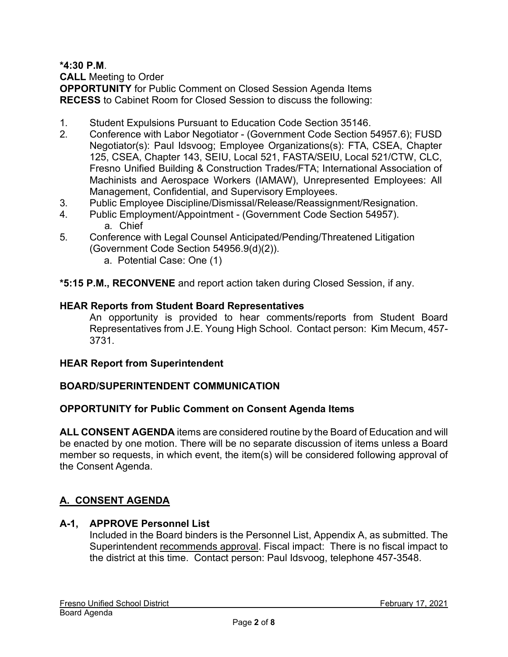**\*4:30 P.M**.

**CALL** Meeting to Order

**OPPORTUNITY** for Public Comment on Closed Session Agenda Items **RECESS** to Cabinet Room for Closed Session to discuss the following:

- 1. Student Expulsions Pursuant to Education Code Section 35146.
- 2. Conference with Labor Negotiator (Government Code Section 54957.6); FUSD Negotiator(s): Paul Idsvoog; Employee Organizations(s): FTA, CSEA, Chapter 125, CSEA, Chapter 143, SEIU, Local 521, FASTA/SEIU, Local 521/CTW, CLC, Fresno Unified Building & Construction Trades/FTA; International Association of Machinists and Aerospace Workers (IAMAW), Unrepresented Employees: All Management, Confidential, and Supervisory Employees.
- 3. Public Employee Discipline/Dismissal/Release/Reassignment/Resignation.
- 4. Public Employment/Appointment (Government Code Section 54957). a. Chief
- 5. Conference with Legal Counsel Anticipated/Pending/Threatened Litigation (Government Code Section 54956.9(d)(2)).
	- a. Potential Case: One (1)
- **\*5:15 P.M., RECONVENE** and report action taken during Closed Session, if any.

# **HEAR Reports from Student Board Representatives**

An opportunity is provided to hear comments/reports from Student Board Representatives from J.E. Young High School. Contact person: Kim Mecum, 457- 3731.

# **HEAR Report from Superintendent**

# **BOARD/SUPERINTENDENT COMMUNICATION**

# **OPPORTUNITY for Public Comment on Consent Agenda Items**

**ALL CONSENT AGENDA** items are considered routine by the Board of Education and will be enacted by one motion. There will be no separate discussion of items unless a Board member so requests, in which event, the item(s) will be considered following approval of the Consent Agenda.

# **A. CONSENT AGENDA**

# **A-1, APPROVE Personnel List**

Included in the Board binders is the Personnel List, Appendix A, as submitted. The Superintendent recommends approval. Fiscal impact: There is no fiscal impact to the district at this time. Contact person: Paul Idsvoog, telephone 457-3548.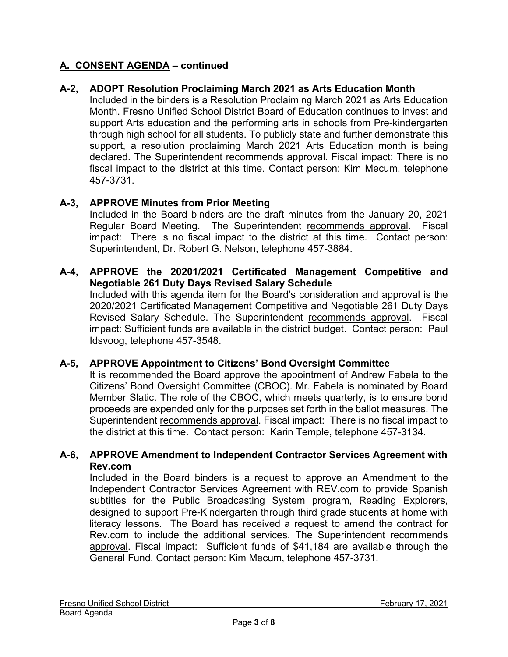# **A-2, ADOPT Resolution Proclaiming March 2021 as Arts Education Month**

Included in the binders is a Resolution Proclaiming March 2021 as Arts Education Month. Fresno Unified School District Board of Education continues to invest and support Arts education and the performing arts in schools from Pre-kindergarten through high school for all students. To publicly state and further demonstrate this support, a resolution proclaiming March 2021 Arts Education month is being declared. The Superintendent recommends approval. Fiscal impact: There is no fiscal impact to the district at this time. Contact person: Kim Mecum, telephone 457-3731.

# **A-3, APPROVE Minutes from Prior Meeting**

Included in the Board binders are the draft minutes from the January 20, 2021 Regular Board Meeting. The Superintendent recommends approval. Fiscal impact: There is no fiscal impact to the district at this time. Contact person: Superintendent, Dr. Robert G. Nelson, telephone 457-3884.

### **A-4, APPROVE the 20201/2021 Certificated Management Competitive and Negotiable 261 Duty Days Revised Salary Schedule**

Included with this agenda item for the Board's consideration and approval is the 2020/2021 Certificated Management Competitive and Negotiable 261 Duty Days Revised Salary Schedule. The Superintendent recommends approval. Fiscal impact: Sufficient funds are available in the district budget. Contact person: Paul Idsvoog, telephone 457-3548.

### **A-5, APPROVE Appointment to Citizens' Bond Oversight Committee**

It is recommended the Board approve the appointment of Andrew Fabela to the Citizens' Bond Oversight Committee (CBOC). Mr. Fabela is nominated by Board Member Slatic. The role of the CBOC, which meets quarterly, is to ensure bond proceeds are expended only for the purposes set forth in the ballot measures. The Superintendent recommends approval. Fiscal impact: There is no fiscal impact to the district at this time. Contact person: Karin Temple, telephone 457-3134.

### **A-6, APPROVE Amendment to Independent Contractor Services Agreement with Rev.com**

Included in the Board binders is a request to approve an Amendment to the Independent Contractor Services Agreement with REV.com to provide Spanish subtitles for the Public Broadcasting System program, Reading Explorers, designed to support Pre-Kindergarten through third grade students at home with literacy lessons. The Board has received a request to amend the contract for Rev.com to include the additional services. The Superintendent recommends approval. Fiscal impact: Sufficient funds of \$41,184 are available through the General Fund. Contact person: Kim Mecum, telephone 457-3731.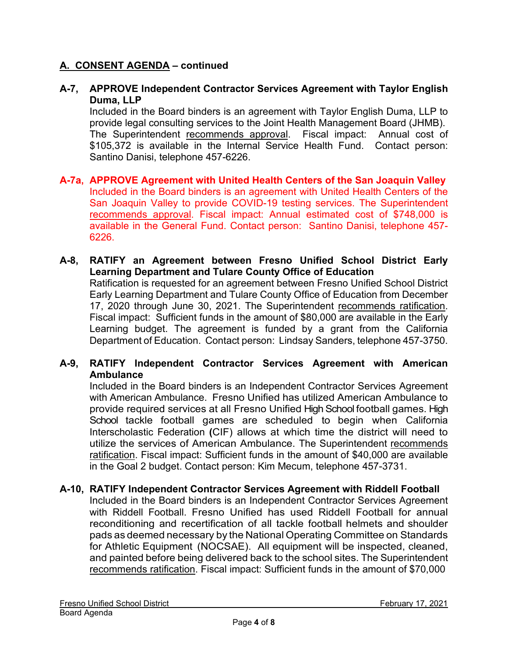### **A-7, APPROVE Independent Contractor Services Agreement with Taylor English Duma, LLP**

Included in the Board binders is an agreement with Taylor English Duma, LLP to provide legal consulting services to the Joint Health Management Board (JHMB). The Superintendent recommends approval. Fiscal impact: Annual cost of \$105,372 is available in the Internal Service Health Fund. Contact person: Santino Danisi, telephone 457-6226.

- **A-7a, APPROVE Agreement with United Health Centers of the San Joaquin Valley** Included in the Board binders is an agreement with United Health Centers of the San Joaquin Valley to provide COVID-19 testing services. The Superintendent recommends approval. Fiscal impact: Annual estimated cost of \$748,000 is available in the General Fund. Contact person: Santino Danisi, telephone 457- 6226.
- **A-8, RATIFY an Agreement between Fresno Unified School District Early Learning Department and Tulare County Office of Education** Ratification is requested for an agreement between Fresno Unified School District Early Learning Department and Tulare County Office of Education from December 17, 2020 through June 30, 2021. The Superintendent recommends ratification. Fiscal impact: Sufficient funds in the amount of \$80,000 are available in the Early Learning budget. The agreement is funded by a grant from the California Department of Education. Contact person: Lindsay Sanders, telephone 457-3750.

# **A-9, RATIFY Independent Contractor Services Agreement with American Ambulance**

Included in the Board binders is an Independent Contractor Services Agreement with American Ambulance. Fresno Unified has utilized American Ambulance to provide required services at all Fresno Unified High School football games. High School tackle football games are scheduled to begin when California Interscholastic Federation **(**CIF) allows at which time the district will need to utilize the services of American Ambulance. The Superintendent recommends ratification. Fiscal impact: Sufficient funds in the amount of \$40,000 are available in the Goal 2 budget. Contact person: Kim Mecum, telephone 457-3731.

# **A-10, RATIFY Independent Contractor Services Agreement with Riddell Football**

Included in the Board binders is an Independent Contractor Services Agreement with Riddell Football. Fresno Unified has used Riddell Football for annual reconditioning and recertification of all tackle football helmets and shoulder pads as deemed necessary by the National Operating Committee on Standards for Athletic Equipment (NOCSAE). All equipment will be inspected, cleaned, and painted before being delivered back to the school sites. The Superintendent recommends ratification. Fiscal impact: Sufficient funds in the amount of \$70,000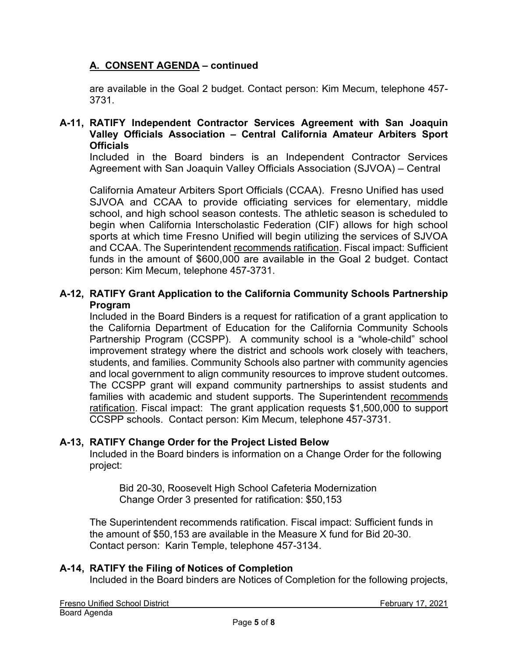are available in the Goal 2 budget. Contact person: Kim Mecum, telephone 457- 3731.

### **A-11, RATIFY Independent Contractor Services Agreement with San Joaquin Valley Officials Association – Central California Amateur Arbiters Sport Officials**

Included in the Board binders is an Independent Contractor Services Agreement with San Joaquin Valley Officials Association (SJVOA) – Central

California Amateur Arbiters Sport Officials (CCAA). Fresno Unified has used SJVOA and CCAA to provide officiating services for elementary, middle school, and high school season contests. The athletic season is scheduled to begin when California Interscholastic Federation (CIF) allows for high school sports at which time Fresno Unified will begin utilizing the services of SJVOA and CCAA. The Superintendent recommends ratification. Fiscal impact: Sufficient funds in the amount of \$600,000 are available in the Goal 2 budget. Contact person: Kim Mecum, telephone 457-3731.

# **A-12, RATIFY Grant Application to the California Community Schools Partnership Program**

Included in the Board Binders is a request for ratification of a grant application to the California Department of Education for the California Community Schools Partnership Program (CCSPP). A community school is a "whole-child" school improvement strategy where the district and schools work closely with teachers, students, and families. Community Schools also partner with community agencies and local government to align community resources to improve student outcomes. The CCSPP grant will expand community partnerships to assist students and families with academic and student supports. The Superintendent recommends ratification. Fiscal impact: The grant application requests \$1,500,000 to support CCSPP schools. Contact person: Kim Mecum, telephone 457-3731.

# **A-13, RATIFY Change Order for the Project Listed Below**

Included in the Board binders is information on a Change Order for the following project:

Bid 20-30, Roosevelt High School Cafeteria Modernization Change Order 3 presented for ratification: \$50,153

The Superintendent recommends ratification. Fiscal impact: Sufficient funds in the amount of \$50,153 are available in the Measure X fund for Bid 20-30. Contact person: Karin Temple, telephone 457-3134.

# **A-14, RATIFY the Filing of Notices of Completion**

Included in the Board binders are Notices of Completion for the following projects,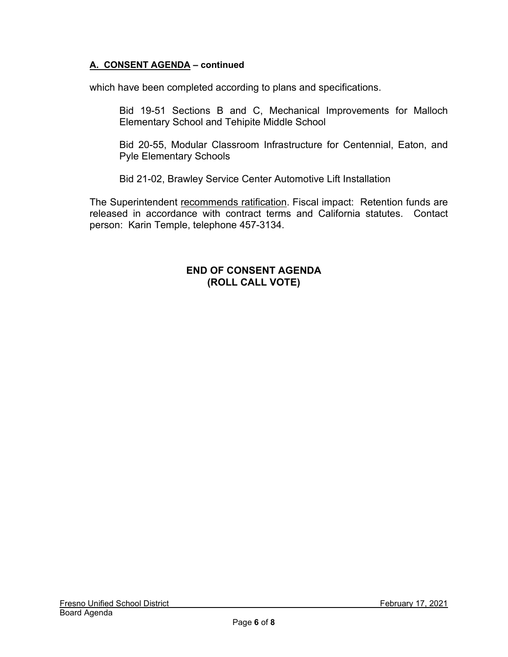which have been completed according to plans and specifications.

Bid 19-51 Sections B and C, Mechanical Improvements for Malloch Elementary School and Tehipite Middle School

Bid 20-55, Modular Classroom Infrastructure for Centennial, Eaton, and Pyle Elementary Schools

Bid 21-02, Brawley Service Center Automotive Lift Installation

The Superintendent recommends ratification. Fiscal impact: Retention funds are released in accordance with contract terms and California statutes. Contact person: Karin Temple, telephone 457-3134.

### **END OF CONSENT AGENDA (ROLL CALL VOTE)**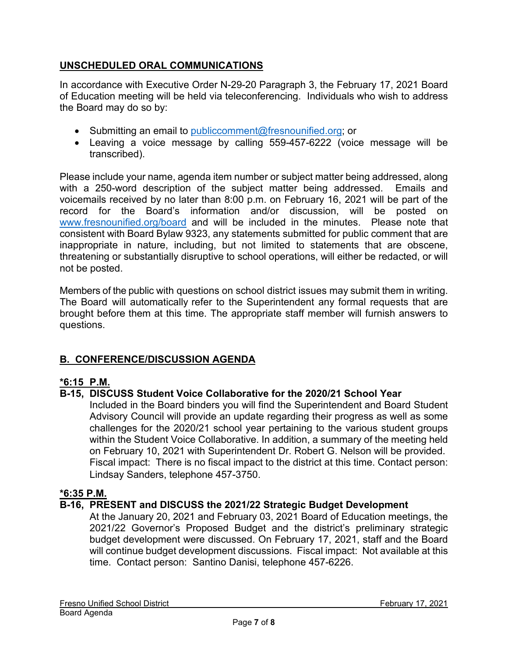# **UNSCHEDULED ORAL COMMUNICATIONS**

In accordance with Executive Order N-29-20 Paragraph 3, the February 17, 2021 Board of Education meeting will be held via teleconferencing. Individuals who wish to address the Board may do so by:

- Submitting an email to [publiccomment@fresnounified.org;](mailto:publiccomment@fresnounified.org) or
- Leaving a voice message by calling 559-457-6222 (voice message will be transcribed).

Please include your name, agenda item number or subject matter being addressed, along with a 250-word description of the subject matter being addressed. Emails and voicemails received by no later than 8:00 p.m. on February 16, 2021 will be part of the record for the Board's information and/or discussion, will be posted on [www.fresnounified.org/board](http://www.fresnounified.org/board) and will be included in the minutes. Please note that consistent with Board Bylaw 9323, any statements submitted for public comment that are inappropriate in nature, including, but not limited to statements that are obscene, threatening or substantially disruptive to school operations, will either be redacted, or will not be posted.

Members of the public with questions on school district issues may submit them in writing. The Board will automatically refer to the Superintendent any formal requests that are brought before them at this time. The appropriate staff member will furnish answers to questions.

# **B. CONFERENCE/DISCUSSION AGENDA**

# **\*6:15 P.M.**

# **B-15, DISCUSS Student Voice Collaborative for the 2020/21 School Year**

Included in the Board binders you will find the Superintendent and Board Student Advisory Council will provide an update regarding their progress as well as some challenges for the 2020/21 school year pertaining to the various student groups within the Student Voice Collaborative. In addition, a summary of the meeting held on February 10, 2021 with Superintendent Dr. Robert G. Nelson will be provided. Fiscal impact: There is no fiscal impact to the district at this time. Contact person: Lindsay Sanders, telephone 457-3750.

### **\*6:35 P.M.**

# **B-16, PRESENT and DISCUSS the 2021/22 Strategic Budget Development**

At the January 20, 2021 and February 03, 2021 Board of Education meetings, the 2021/22 Governor's Proposed Budget and the district's preliminary strategic budget development were discussed. On February 17, 2021, staff and the Board will continue budget development discussions. Fiscal impact: Not available at this time. Contact person: Santino Danisi, telephone 457-6226.